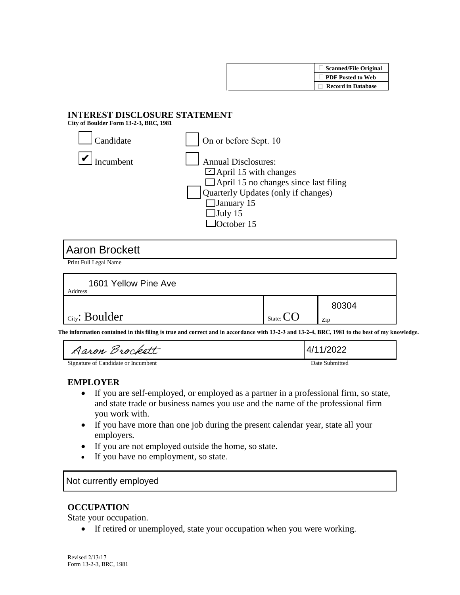

## **INTEREST DISCLOSURE STATEMENT**

**City of Boulder Form 13-2-3, BRC, 1981** 

| Candidate | On or before Sept. 10                                                                                                                                                                                   |
|-----------|---------------------------------------------------------------------------------------------------------------------------------------------------------------------------------------------------------|
| incumbent | <b>Annual Disclosures:</b><br>$\Box$ April 15 with changes<br>$\Box$ April 15 no changes since last filing<br>Quarterly Updates (only if changes)<br>$\Box$ January 15<br>$\Box$ July 15<br>lOctober 15 |

# Aaron Brockett

Print Full Legal Name

| 1601 Yellow Pine Ave<br>Address |                  |              |
|---------------------------------|------------------|--------------|
| <b>City: Boulder</b>            | State: $\bigcup$ | 80304<br>Zip |

**The information contained in this filing is true and correct and in accordance with 13-2-3 and 13-2-4, BRC, 1981 to the best of my knowledge.** 

| Aaron Brockett                      | 4/11/2022      |
|-------------------------------------|----------------|
| Signature of Candidate or Incumbent | Date Submitted |

### **EMPLOYER**

- If you are self-employed, or employed as a partner in a professional firm, so state, and state trade or business names you use and the name of the professional firm you work with.
- If you have more than one job during the present calendar year, state all your employers.
- If you are not employed outside the home, so state.
- If you have no employment, so state.

Not currently employed

### **OCCUPATION**

State your occupation.

• If retired or unemployed, state your occupation when you were working.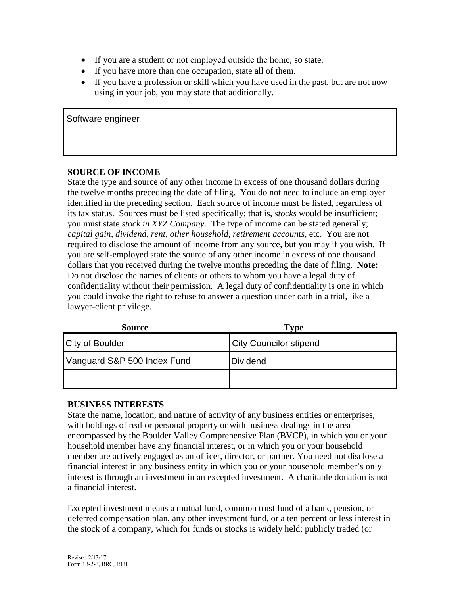- If you are a student or not employed outside the home, so state.
- If you have more than one occupation, state all of them.
- If you have a profession or skill which you have used in the past, but are not now using in your job, you may state that additionally.

Software engineer

#### **SOURCE OF INCOME**

State the type and source of any other income in excess of one thousand dollars during the twelve months preceding the date of filing. You do not need to include an employer identified in the preceding section. Each source of income must be listed, regardless of its tax status. Sources must be listed specifically; that is, *stocks* would be insufficient; you must state *stock in XYZ Company*. The type of income can be stated generally; *capital gain, dividend, rent, other household, retirement accounts,* etc. You are not required to disclose the amount of income from any source, but you may if you wish. If you are self-employed state the source of any other income in excess of one thousand dollars that you received during the twelve months preceding the date of filing. **Note:**  Do not disclose the names of clients or others to whom you have a legal duty of confidentiality without their permission. A legal duty of confidentiality is one in which you could invoke the right to refuse to answer a question under oath in a trial, like a lawyer-client privilege.

| <b>Source</b>               | <b>Type</b>                   |
|-----------------------------|-------------------------------|
| <b>City of Boulder</b>      | <b>City Councilor stipend</b> |
| Vanguard S&P 500 Index Fund | Dividend                      |
|                             |                               |

#### **BUSINESS INTERESTS**

State the name, location, and nature of activity of any business entities or enterprises, with holdings of real or personal property or with business dealings in the area encompassed by the Boulder Valley Comprehensive Plan (BVCP), in which you or your household member have any financial interest, or in which you or your household member are actively engaged as an officer, director, or partner. You need not disclose a financial interest in any business entity in which you or your household member's only interest is through an investment in an excepted investment. A charitable donation is not a financial interest.

Excepted investment means a mutual fund, common trust fund of a bank, pension, or deferred compensation plan, any other investment fund, or a ten percent or less interest in the stock of a company, which for funds or stocks is widely held; publicly traded (or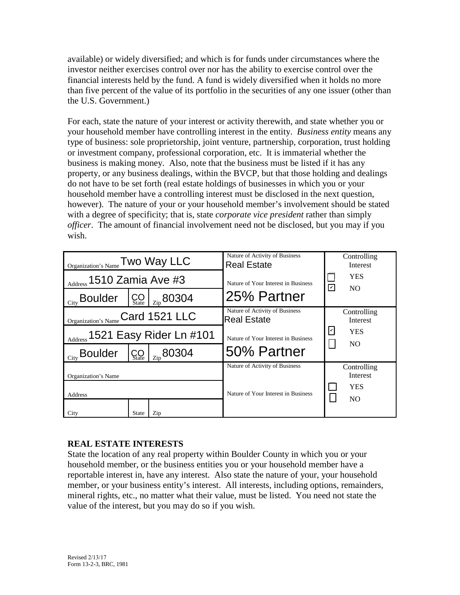available) or widely diversified; and which is for funds under circumstances where the investor neither exercises control over nor has the ability to exercise control over the financial interests held by the fund. A fund is widely diversified when it holds no more than five percent of the value of its portfolio in the securities of any one issuer (other than the U.S. Government.)

For each, state the nature of your interest or activity therewith, and state whether you or your household member have controlling interest in the entity. *Business entity* means any type of business: sole proprietorship, joint venture, partnership, corporation, trust holding or investment company, professional corporation, etc. It is immaterial whether the business is making money. Also, note that the business must be listed if it has any property, or any business dealings, within the BVCP, but that those holding and dealings do not have to be set forth (real estate holdings of businesses in which you or your household member have a controlling interest must be disclosed in the next question, however). The nature of your or your household member's involvement should be stated with a degree of specificity; that is, state *corporate vice president* rather than simply *officer*. The amount of financial involvement need not be disclosed, but you may if you wish.

| $\frac{\text{Organization's Name}}{\text{Two Way LLC}}$ |                       | Nature of Activity of Business<br><b>Real Estate</b> |                         | Controlling<br>Interest |  |
|---------------------------------------------------------|-----------------------|------------------------------------------------------|-------------------------|-------------------------|--|
| Address 1510 Zamia Ave #3                               |                       | Nature of Your Interest in Business                  | $\overline{\mathbf{v}}$ | <b>YES</b><br>NO.       |  |
| $_{\rm City}$ Boulder                                   | $\rm{CO}_{\rm State}$ | $\frac{1}{2}$ 80304                                  | 25% Partner             |                         |  |
| Organization's Name Card 1521 LLC                       |                       | Nature of Activity of Business<br><b>Real Estate</b> |                         | Controlling<br>Interest |  |
| Address 1521 Easy Rider Ln #101                         |                       | Nature of Your Interest in Business                  | ☑                       | <b>YES</b><br>NO.       |  |
| $_{\text{City}}$ Boulder                                | <b>ÇO</b>             | $\frac{1}{2}$ 80304                                  | 50% Partner             |                         |  |
| Organization's Name                                     |                       | Nature of Activity of Business                       |                         | Controlling<br>Interest |  |
| Address                                                 |                       | Nature of Your Interest in Business                  |                         | <b>YES</b><br>NO.       |  |
| City                                                    | State                 | Zip                                                  |                         |                         |  |

# **REAL ESTATE INTERESTS**

State the location of any real property within Boulder County in which you or your household member, or the business entities you or your household member have a reportable interest in, have any interest. Also state the nature of your, your household member, or your business entity's interest. All interests, including options, remainders, mineral rights, etc., no matter what their value, must be listed. You need not state the value of the interest, but you may do so if you wish.